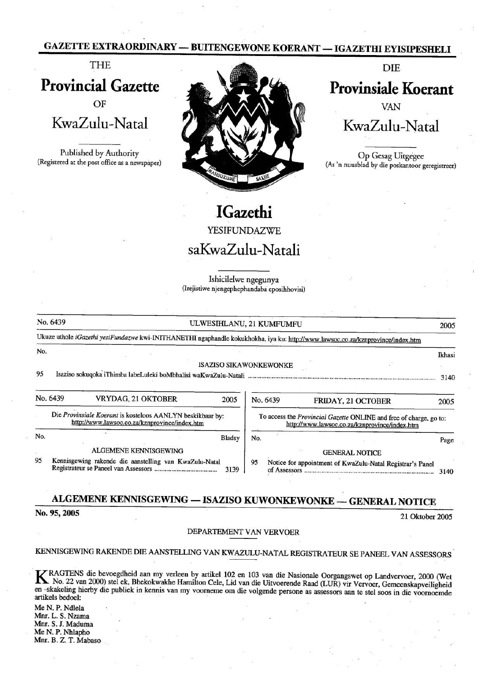## GAZETTE EXTRAORDINARY — BUITENGEWONE KOERANT — IGAZETHI EYISIPESHELI



# **IGazethi**

|                                                                                                             |                                                                                                                                 |                                             |                               |                            | <b>GAZETTE EXTRAORDINARY — BUITENGEWONE KOERANT — IGAZETHI EYISIPESHELI</b>                                         |                |
|-------------------------------------------------------------------------------------------------------------|---------------------------------------------------------------------------------------------------------------------------------|---------------------------------------------|-------------------------------|----------------------------|---------------------------------------------------------------------------------------------------------------------|----------------|
|                                                                                                             | <b>THE</b>                                                                                                                      |                                             |                               |                            | <b>DIE</b>                                                                                                          |                |
| <b>Provincial Gazette</b>                                                                                   |                                                                                                                                 |                                             |                               | <b>Provinsiale Koerant</b> |                                                                                                                     |                |
|                                                                                                             | OF                                                                                                                              |                                             |                               |                            | VAN                                                                                                                 |                |
|                                                                                                             | KwaZulu-Natal                                                                                                                   |                                             |                               |                            | KwaZulu-Natal                                                                                                       |                |
|                                                                                                             | Published by Authority<br>(Registered at the post office as a newspaper)                                                        | <b>SURUME</b>                               |                               |                            | Op Gesag Uitgegee<br>(As 'n nuusblad by die poskantoor geregistreer)                                                |                |
|                                                                                                             |                                                                                                                                 |                                             | <b>IGazethi</b>               |                            |                                                                                                                     |                |
|                                                                                                             |                                                                                                                                 |                                             | YESIFUNDAZWE                  |                            |                                                                                                                     |                |
|                                                                                                             |                                                                                                                                 | saKwaZulu-Natali                            |                               |                            |                                                                                                                     |                |
|                                                                                                             |                                                                                                                                 | (Irejistiwe njengephephandaba eposihhovisi) | Ishicilelwe ngegunya          |                            |                                                                                                                     |                |
|                                                                                                             |                                                                                                                                 |                                             |                               |                            |                                                                                                                     |                |
| No. 6439                                                                                                    |                                                                                                                                 | ULWESIHLANU, 21 KUMFUMFU                    |                               |                            |                                                                                                                     | 2005           |
|                                                                                                             | Ukuze uthole iGazethi yesiFundazwe kwi-INITHANETHI ngaphandle kokukhokha, iya ku: http://www.lawsoc.co.za/kznprovince/index.htm |                                             |                               |                            |                                                                                                                     |                |
| No.<br>95                                                                                                   |                                                                                                                                 |                                             | <b>ISAZISO SIKAWONKEWONKE</b> |                            |                                                                                                                     | Ikhasi<br>3140 |
| No. 6439                                                                                                    | VRYDAG, 21 OKTOBER                                                                                                              |                                             | 2005                          | No. 6439                   | FRIDAY, 21 OCTOBER                                                                                                  | 2005           |
| Die Provinsiale Koerant is kosteloos AANLYN beskikbaar by:<br>http://www.lawsoc.co.za/kznprovince/index.htm |                                                                                                                                 |                                             |                               |                            | To access the Provincial Gazette ONLINE and free of charge, go to:<br>http://www.lawsoc.co.za/kznprovince/index.htm |                |
| No.                                                                                                         |                                                                                                                                 |                                             | <b>Bladsy</b><br>No.          |                            |                                                                                                                     | Page           |
|                                                                                                             | ALGEMENE KENNISGEWING                                                                                                           |                                             |                               |                            | <b>GENERAL NOTICE</b>                                                                                               |                |
| 95                                                                                                          | Kennisgewing rakende die aanstelling van KwaZulu-Natal                                                                          |                                             | 95<br>3139                    |                            | Notice for appointment of KwaZulu-Natal Registrar's Panel                                                           | 3140           |
|                                                                                                             |                                                                                                                                 |                                             |                               |                            | ALGEMENE KENNISGEWING - ISAZISO KUWONKEWONKE - GENERAL NOTICE                                                       |                |
| No. 95, 2005                                                                                                |                                                                                                                                 |                                             |                               |                            | $21$ Obtains $2005$                                                                                                 |                |

# ALGEMENE KENNISGEWING - ISAZISO KUWONKEWONKE - GENERAL NOTICE

21 Oktober 2005

### DEPARTEMENT VAN VERVOER

KENNISGEWING RAKENDE DIE AANSTELLING VAN KWAZULU-NATAL REGISTRATEUR SE PANEEL VAN ASSESSORS

ELING VAIN KWAZUL<br>
en by artikel 102 en 10<br>
Iamilton Cele, Lid van de vontere om die vontere van die vontere om die vontere van die vontere van die vonter<br>
die vontere om die vontere van die vontere van die vontere van die K RAGTENS die bevoegdheid aan my verleen by artikel 102 en 103 van die Nasionale Oorgangswet op Landvervoer, 2000 (Wet<br>No. 22 van 2000) stel ek, Bhekokwakhe Hamilton Cele, Lid van die Uitvoerende Raad (LUR) vir Vervoer, Ge

MeN. P. Ndlela Mnr. L. S. Nzama Mnr. S. J. Maduma Me N. P. Nhlapho Mnr. B. Z. T. Mabaso